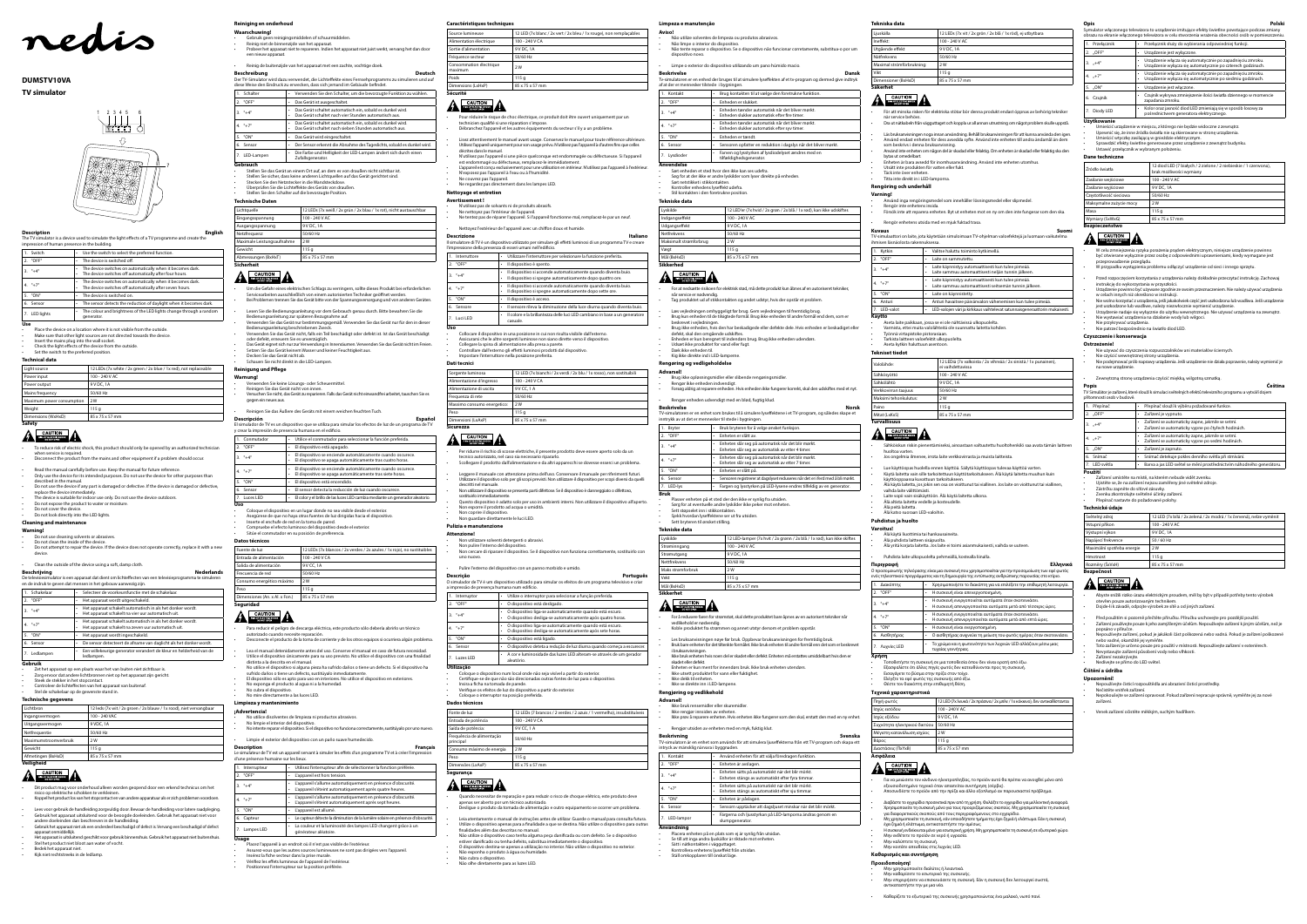**Use** Place the device on a location where it is not visible from the outside

Make sure that other light sources are not directed towards the device

• Insert the mains plug into the wall socket. First the manisplay into the wan socket.<br>Check the light effects of the device from the outside

Set the switch to the preferred position.

| 1. Switch  | Use the switch to select the preferred function.<br>٠                                                                            |
|------------|----------------------------------------------------------------------------------------------------------------------------------|
| 2. "OFF"   | The device is switched off.<br>٠                                                                                                 |
| $3. "+4"$  | The device switches on automatically when it becomes dark.<br>٠<br>The device switches off automatically after four hours.<br>٠  |
| 4. $"+7"$  | The device switches on automatically when it becomes dark.<br>٠<br>The device switches off automatically after seven hours.<br>٠ |
| 5. "ON"    | The device is switched on.<br>٠                                                                                                  |
| 6. Sensor  | The sensor detects the reduction of daylight when it becomes dark.<br>٠                                                          |
| LED liahts | The colour and brightness of the LED lights change through a random<br>٠<br>generator.                                           |

#### **Technical data**

| Light source              | 12 LEDs (7x white / 2x green / 2x blue / 1x red), not replaceable |
|---------------------------|-------------------------------------------------------------------|
| Power input               | 100 - 240 V AC                                                    |
| Power output              | 9 V DC, 1A                                                        |
| Mains frequency           | 50/60 Hz                                                          |
| Maximum power consumption | 2W                                                                |
| Weight                    | 115q                                                              |
| Dimensions (WxHxD)        | 85 x 75 x 57 mm                                                   |

## **A EAUTION**

**Gebruik** Zet het apparaat op een plaats waar het van buiten niet zichtbaar is.

- To reduce risk of electric shock, this product should only be opened by an authorized technician when service is required. • Disconnect the product from the mains and other equipment if a problem should occur.
- 
- Read the manual carefully before use. Keep the manual for future reference. • Only use the device for its intended purposes. Do not use the device for other purposes than
- described in the manual. Do not use the device if any part is damaged or defective. If the device is damaged or defective,
- replace the device immediately. The device is suitable for indoor use only. Do not use the device outdoors.
- Do not expose the product to water or moisture.
- Do not cover the device.
- Do not look directly into the LED lights. **Cleaning and maintenance**

- Zorg ervoor dat andere lichtbronnen niet op het apparaat zijn gericht. • Steek de stekker in het stopcontact.
- Controleer de lichteffecten van het apparaat van buitenaf.
- Stel de schakelaar op de gewenste stand in.

## **Warning!**

- Do not use cleaning solvents or abrasives.
- Do not clean the inside of the device.
- Do not attempt to repair the device. If the device does not operate correctly, replace it with a new device.

### • Clean the outside of the device using a soft, damp cloth.

**Beschrijving Nederlands** De televisiesimulator is een apparaat dat dient om lichteffecten van een televisieprogramma te simuleren en de indruk te geven dat mensen in het gebouw aanwezig zijn.

|    | 1. Schakelaar | Selecteer de voorkeursfunctie met de schakelaar.                                                                            |
|----|---------------|-----------------------------------------------------------------------------------------------------------------------------|
|    | 2. "OFF"      | Het apparaat wordt uitgeschakeld.<br>٠                                                                                      |
|    | $3. "+4"$     | Het apparaat schakelt automatisch in als het donker wordt.<br>٠<br>Het apparaat schakelt na vier uur automatisch uit.<br>٠  |
|    | $4$ "+7"      | Het apparaat schakelt automatisch in als het donker wordt.<br>٠<br>Het apparaat schakelt na zeven uur automatisch uit.<br>٠ |
|    | 5. "ON"       | Het apparaat wordt ingeschakeld.                                                                                            |
|    | 6. Sensor     | De sensor detecteert de afname van daglicht als het donker wordt.<br>٠                                                      |
| 7. | Ledlampen     | Een willekeurige generator verandert de kleur en helderheid van de<br>ledlampen.                                            |

#### **Technische gegevens**

| Lichtbron             | 12 leds (7x wit / 2x groen / 2x blauw / 1x rood), niet vervangbaar |
|-----------------------|--------------------------------------------------------------------|
| Ingangsvermogen       | 100 - 240 VAC                                                      |
| Uitgangsvermogen      | 9 VDC, 1A                                                          |
| Netfrequentie         | 50/60 Hz                                                           |
| Maximumstroomverbruik | 2 W                                                                |
| Gewicht               | 115q                                                               |
| Afmetingen (BxHxD)    | 85 x 75 x 57 mm                                                    |

1den Sie keine Lösungs- oder Scheuermittel<mark>.</mark> • Reinigen Sie das Gerät nicht von innen.

## **Veiligheid**

#### **CAUTION EXAMPLE CHECK BROCK**

- Dit product mag voor onderhoud alleen worden geopend door een erkend technicus om het .<br>co op elektrische schokken te verkleiner. • Koppel het product los van het stopcontact en van andere apparatuur als er zich problemen voordoen.
- Lees voor gebruik de handleiding zorgvuldig door. Bewaar de handleiding voor latere raadpleging.
- Gebruik het apparaat uitsluitend voor de beoogde doeleinden. Gebruik het apparaat niet voor andere doeleinden dan beschreven in de handleiding. • Gebruik het apparaat niet als een onderdeel beschadigd of defect is. Vervang een beschadigd of defect
- apparaat onmiddellijk. Het apparaat is uitsluitend geschikt voor gebruik binnenshuis. Gebruik het apparaat niet buitenshuis. Stel het product niet bloot aan water of vocht. • Bedek het apparaat niet.
- Kijk niet rechtstreeks in de ledlamp.

#### **Reiniging en onderhoud**

#### **Waarschuwing!**

• Gebruik geen reinigingsmiddelen of schuurmiddelen.

• Reinig niet de binnenzijde van het apparaat. • Probeer het apparaat niet te repareren. Indien het apparaat niet juist werkt, vervang het dan door een nieuw apparaat.

#### • Reinig de buitenzijde van het apparaat met een zachte, vochtige doek.

- **Beschreibung Deutsch** Der TV-Simulator wird dazu verwendet, die Lichteffekte eines Fernsehprogramms zu simulieren und auf diese Weise den Eindruck zu erwecken, dass sich jemand im Gebäude befindet.
- 1. Schalter Verwenden Sie den Schalter, um die bevorzugte Funktion zu wählen. external • Das Gerät ist ausgeschaltet.
- 3. "+4" Das Gerät schaltet automatisch ein, sobald es dunkel wird. • Das Gerät schaltet nach vier Stunden automatisch aus.
- 4. "+7" Das Gerät schaltet automatisch ein, sobald es dunkel wird.
- Das Gerät schaltet nach sieben Stunden automatisch aus.
- example. To Das Gerät wird eingeschaltet. 6. Sensor • Der Sensor erkennt die Abnahme des Tageslichts, sobald es dunkel wird.
- Parade und Helligkeit der LED-Lampen ändert sich durch einen Zufallsgenerator.
- **Gebrauch** • Stellen Sie das Gerät an einem Ort auf, an dem es von draußen nicht sichtbar ist.
- Stellen Sie sicher, dass keine anderen Lichtquellen auf das Gerät gerichtet sind. Stecken Sie den Netzstecker in die Wandsteckdose.
- Überprüfen Sie die Lichteffekte des Geräts von draußen. Stellen Sie den Schalter auf die bevorzugte Position.

- Placez l'appareil à un endroit où il n'est pas visible de l'extérieur.
- Assurez-vous que les autres sources lumineuses ne sont pas dirigées vers l'apparei • Insérez la fiche secteur dans la prise murale.
- Vérifiez les effets lumineux de l'appareil de l'extérieur. Positionnez l'interrupteur sur la position préférée

#### **Technische Daten**

| Technische Daten           |                                                                    |  |
|----------------------------|--------------------------------------------------------------------|--|
| Lichtquelle                | 12 LEDs (7x weiß / 2x grün / 2x blau / 1x rot), nicht austauschbar |  |
| Eingangsspannung           | 100 - 240 V AC                                                     |  |
| Ausgangsspannung           | 9 V DC, 1A                                                         |  |
| Netzfrequenz               | 50/60 Hz                                                           |  |
| Maximale Leistungsaufnahme | 2 W                                                                |  |
| Gewicht                    | 115q                                                               |  |
| Abmessungen (BxHxT)        | 85 x 75 x 57 mm                                                    |  |
| Sicherheit                 |                                                                    |  |

## **CAUTION**

6. Sensore • Il sensore rileva la diminuzione della luce diurna quando diventa buio. 1. Luci LED • Il colore e la brillantezza delle luci LED cambiano in base a un generatore

- Um die Gefahr eines elektrischen Schlags zu verringern, sollte dieses Produkt bei erforderlichen Servicearbeiten ausschließlich von einem autorisierten Techniker geöffnet werden. • Bei Problemen trennen Sie das Gerät bitte von der Spannungsversorgung und von anderen Geräten. • Lesen Sie die Bedienungsanleitung vor dem Gebrauch genau durch. Bitte bewahren Sie die
- Bedienungsanleitung zur späteren Bezugnahme auf.
- Verwenden Sie das Gerät nur bestimmungsgemäß. Verwenden Sie das Gerät nur für den in dieser Bedienungsanleitung beschriebenen Zweck. • Verwenden Sie das Gerät nicht, falls ein Teil beschädigt oder defekt ist. Ist das Gerät beschädigt
- oder defekt, erneuern Sie es unverzüglich. Das Gerät eignet sich nur zur Verwendung in Innenräumen. Verwenden Sie das Gerät nicht im Freien.
- Setzen Sie das Gerät keinem Wasser und keiner Feuchtigkeit aus. • Decken Sie das Gerät nicht ab.
- Schauen Sie nicht direkt in die LED-Lampen.

#### **Reinigung und Pflege**

**Warnung!**

- Versuchen Sie nicht, das Gerät zu reparieren. Falls das Gerät nicht einwandfrei arbeitet, tauschen Sie es gegen ein neues aus
- Reinigen Sie das Äußere des Geräts mit einem weichen feuchten Tuch.
- 

**Pulizia e manutenzion Attenzione!**

**Descripción Español** El simulador de TV es un dispositivo que se utiliza para simular los efectos de luz de un programa de TV y crear la impresión de presencia humana en el edificio.

> 6. Sensor • O dispositivo deteta a redução de luz diurna quando começa a escurecer. 1. Luzes LED • A cor e luminosidade das luzes LED alteram-se através de um gerado

Fonte de luz 12 LEDs (7 brancos / 2 verdes / 2 azuis / 1 vermelho), insubstituíveir

|     | 1. Conmutador                                                                 | ٠ | Utilice el conmutador para seleccionar la función preferida.                                                              |
|-----|-------------------------------------------------------------------------------|---|---------------------------------------------------------------------------------------------------------------------------|
|     | 2. "OFF"                                                                      |   | El dispositivo está apagado.                                                                                              |
|     | $3. "+4"$                                                                     | ٠ | El dispositivo se enciende automáticamente cuando oscurece.<br>El dispositivo se apaga automáticamente tras cuatro horas. |
|     | $4. "+7"$                                                                     |   | El dispositivo se enciende automáticamente cuando oscurece.<br>El dispositivo se apaga automáticamente tras siete horas.  |
|     | 5. "ON"                                                                       |   | El dispositivo está encendido.                                                                                            |
|     | 6. Sensor                                                                     |   | El sensor detecta la reducción de luz cuando oscurece.                                                                    |
|     | 7. Luces LED                                                                  |   | El color y el brillo de las luces LED cambia mediante un generador aleatorio.                                             |
| Uso |                                                                               |   |                                                                                                                           |
| ۰   | Coloque el dispositivo en un lugar donde no sea visible desde el exterior.    |   |                                                                                                                           |
| ۰   | Asegúrese de que no haya otras fuentes de luz dirigidas hacia el dispositivo. |   |                                                                                                                           |
| ٠   | Inserte el enchufe de red en la toma de pared.                                |   |                                                                                                                           |
| ۰   | Compruebe el efecto luminoso del dispositivo desde el exterior.               |   |                                                                                                                           |

### • Sitúe el conmutador en su posición de preferencia.

| Datos técnicos                 |                                                                         |  |
|--------------------------------|-------------------------------------------------------------------------|--|
| Fuente de luz                  | 12 LEDs (7x blancos / 2x verdes / 2x azules / 1x rojo), no sustituibles |  |
| Entrada de alimentación        | 100 - 240 V CA                                                          |  |
| Salida de alimentación         | 9 V CC, 1A                                                              |  |
| Frecuencia de red              | 50/60 Hz                                                                |  |
| Consumo energético máximo      | 2 W                                                                     |  |
| Peso                           | 115 g                                                                   |  |
| Dimensiones (An. x Al. x Fon.) | 85 x 75 x 57 mm                                                         |  |
| Seauridad                      |                                                                         |  |

#### $C$ AUTION **AN ELECTROSHOCK**

- 
- Para reducir el peligro de descarga eléctrica, este producto sólo debería abrirlo un técnico autorizado cuando necesite reparación. • Desconecte el producto de la toma de corriente y de los otros equipos si ocurriera algún problema.
- Lea el manual detenidamente antes del uso. Conserve el manual en caso de futura necesidad.
- Utilice el dispositivo únicamente para su uso previsto. No utilice el dispositivo con una finalidad distinta a la descrita en el manual. • No utilice el dispositivo si alguna pieza ha sufrido daños o tiene un defecto. Si el dispositivo ha
- sufrido daños o tiene un defecto, sustitúyalo inmediatamente.
- El dispositivo sólo es apto para uso en interiores. No utilice el dispositivo en exteriore
- No exponga el producto al agua ni a la humedad. • No cubra el dispositivo.
- No mire directamente a las luc **Limpieza y mantenimiento**

Vægt Mål (RyHyD) **Sikkerhed**

#### **¡Advertencia!** • No utilice disolventes de limpieza ni productos abrasivos.

Udsæt ikke produktet for vand eller fugt. • Dæk ikke enheden til.

- No limpie el interior del dispositivo. No intente reparar el dispositivo. Si el dispositivo no funciona correctamente, sustitúyalo por uno nuevo.
- Limpie el exterior del dispositivo con un paño suave hur
- **Description Français** Le simulateur de TV est un appareil servant à simuler les effets d'un programme TV et à créer l'impression d'une présence humaine sur les lieux.

#### inntrykk av at det er mennesker til stede i bygningen. 1. Bryter • Bruk bryteren for å velge ønsket funksjon.

#### • Sett støpselet inn i stikkontakten. Sjekk hvordan lyseffektene ser ut fra utsider

| <u>U UITE DIESEITLE HUIHUITE SUI TES IIEUA.</u> |                                                                                                                                    |  |
|-------------------------------------------------|------------------------------------------------------------------------------------------------------------------------------------|--|
| Interrupteur<br>1.                              | Utilisez l'interrupteur afin de sélectionner la fonction préférée.                                                                 |  |
| 2. "OFF"                                        | L'appareil est hors tension.                                                                                                       |  |
| $3. "+4"$                                       | L'appareil s'allume automatiquement en présence d'obscurité.<br>٠<br>L'appareil s'éteint automatiquement après quatre heures.<br>٠ |  |
| $4. "+7"$                                       | L'appareil s'allume automatiquement en présence d'obscurité.<br>٠<br>L'appareil s'éteint automatiquement après sept heures.<br>٠   |  |
| "ON"<br>5.                                      | L'appareil est allumé.                                                                                                             |  |
| Capteur<br>6.                                   | Le capteur détecte la diminution de la lumière solaire en présence d'obscurité.<br>٠                                               |  |
| Lampes LED                                      | La couleur et la luminosité des lampes LED changent grâce à un<br>٠<br>générateur aléatoire.                                       |  |

**Usage**

Ikke rengjør innsiden av enheten. • Ikke prøv å reparere enheten. Hvis enheten ikke fungerer som den skal, erstatt den med en ny enhet.

## **Caractéristiques techniques**

- Pour réduire le risque de choc électrique, ce produit doit être ouvert uniquement par un technicien qualifié si une réparation s'impose. • Débranchez l'appareil et les autres équipements du secteur s'il y a un problème.
- Lisez attentivement le manuel avant usage. Conservez le manuel pour toute référence ultérieure. • Utilisez l'appareil uniquement pour son usage prévu. N'utilisez pas l'appareil à d'autres fins que celles

décrites dans le manuel.

• N'utilisez pas l'appareil si une pièce quelconque est endommagée ou défectueuse. Si l'appareil est endommagé ou défectueux, remplacez-le immédiatement. • L'appareil est conçu exclusivement pour une utilisation en intérieur. N'utilisez pas l'appareil à l'extérieur.

• N'exposez pas l'appareil à l'eau ou à l'humidité. • Ne couvrez pas l'appareil. • Ne regardez pas directement dans les lampes LED.

**Nettoyage et entretien Avertissement !**

• N'utilisez pas de solvants ni de produits abrasifs. • Ne nettoyez pas l'intérieur de l'appareil.

• Ne tentez pas de réparer l'appareil. Si l'appareil fonctionne mal, remplacez-le par un neuf.

• Nettoyez l'extérieur de l'appareil avec un chiffon doux et humide.

**Descrizione Italiano** Il simulatore di TV è un dispositivo utilizzato per simulare gli effetti luminosi di un programma TV e creare

1. Interruttore **• Interruttore interruttore per selezionare la funzione preferita.** 

l'impressione della presenza di esseri umani nell'edificio.

 $\overline{\cdot}$   $\overline{\cdot}$   $\overline{\cdot}$   $\overline{\cdot}$   $\overline{\cdot}$   $\overline{\cdot}$   $\overline{\cdot}$   $\overline{\cdot}$   $\overline{\cdot}$   $\overline{\cdot}$   $\overline{\cdot}$   $\overline{\cdot}$   $\overline{\cdot}$   $\overline{\cdot}$   $\overline{\cdot}$   $\overline{\cdot}$   $\overline{\cdot}$   $\overline{\cdot}$   $\overline{\cdot}$   $\overline{\cdot}$   $\overline{\cdot}$   $\overline{\cdot}$   $\overline{\cdot}$   $\overline{\cdot}$   $\overline{\$ 

 $\overline{\hspace{1cm}}$   $\overline{\hspace{1cm}}$   $\overline{\hspace{1cm}}$   $\overline{\hspace{1cm}}$   $\overline{\hspace{1cm}}$   $\overline{\hspace{1cm}}$   $\overline{\hspace{1cm}}$   $\overline{\hspace{1cm}}$   $\overline{\hspace{1cm}}$   $\overline{\hspace{1cm}}$   $\overline{\hspace{1cm}}$   $\overline{\hspace{1cm}}$   $\overline{\hspace{1cm}}$   $\overline{\hspace{1cm}}$   $\overline{\hspace{1cm}}$   $\overline{\hspace{1cm}}$   $\overline{\hspace{1cm}}$ 

3. "+4" • Il dispositivo si accende automaticamente quando diventa buio.

<sup>"+7"</sup> • Il dispositivo si accende automaticamente quando diventa buio.

Sorgente luminosa 12 LED (7x bianchi / 2x verdi / 2x blu / 1x rosso), non sostituibili

• Il dispositivo si spegne automaticamente dopo quattro ore.

• Il dispositivo si spegne automaticamente dopo sette ore.

casuale.

 $2W$  $|115 g|$ 

**Uso**

• Collocare il dispositivo in una posizione in cui non risulta visibile dall'esterno. • Assicurarsi che le altre sorgenti luminose non siano dirette verso il dispositivo. • Collegare la spina di alimentazione alla presa a parete. • Controllare dall'esterno gli effetti luminosi prodotti dal dispositivo.

• Impostare l'interruttore nella posizione preferita.

nentazione d'ingresso | 100 - 240 V CA Alimentazione di uscita 9 V CC, 1 A equenza di rete  $\vert$  50/60 Hz

Dimensioni (LxAxP)  $\left| \begin{array}{cc} 85 \times 75 \times 57 \end{array} \right|$ 

**Dati tecnici**

**Sicurezza**

• Per ridurre il rischio di scosse elettriche, il presente prodotto deve essere aperto solo da un

tecnico autorizzato, nel caso sia necessario ripararlo.

• Scollegare il prodotto dall'alimentazione e da altri apparecchi se dovesse esserci un problema. • Leggere il manuale con attenzione prima dell'uso. Conservare il manuale per riferimenti futuri. • Utilizzare il dispositivo solo per gli scopi previsti. Non utilizzare il dispositivo per scopi diversi da quelli

descritti nel manuale.

**CAUTION** 

| Source lumineuse                   | 12 LED (7x blanc / 2x vert / 2x bleu / 1x rouge), non remplacables | Aviso!                             |
|------------------------------------|--------------------------------------------------------------------|------------------------------------|
| Alimentation électrique            | 100 - 240 V CA                                                     | Não utilize sc<br>Não limpe o      |
| Sortie d'alimentation              | 9 V DC, 1A                                                         | Não tente rej<br>$\bullet$         |
| Fréquence secteur                  | 50/60 Hz                                                           | dispositivo n                      |
| Consommation électrique<br>maximum | 2W                                                                 | Limpe o exte<br><b>Beskrivelse</b> |
| Poids                              | 115 g                                                              | Tv-simulatoren er er               |
| Dimensions (LxHxP)                 | 85 x 75 x 57 mm                                                    | af at der er mennes                |
| Sécurité                           |                                                                    | 1 Kontakt                          |

## **CAUTION**

• Non utilizzare il dispositivo se presenta parti difettose. Se il dispositivo è danneggiato o difettoso,

sostituirlo immediatamente.

• Questo dispositivo è adatto solo per uso in ambienti interni. Non utilizzare il dispositivo all'aperto.

• Non esporre il prodotto ad acqua o umidità.

• Non coprire il dispositivo. • Non guardare direttamente le luci LED.

• Non utilizzare solventi detergenti o abrasivi. • Non pulire l'interno del dispositivo.

• Non cercare di riparare il dispositivo. Se il dispositivo non funziona correttamente, sostituirlo con

uno nuovo.

• Pulire l'esterno del dispositivo con un panno morbido e umido.

2. "OFF"  $\vert \cdot \vert$  O dispositivo está desligado.

 $\overline{\phantom{a}}$   $\overline{\phantom{a}}$   $\overline{\phantom{a}}$   $\overline{\phantom{a}}$   $\overline{\phantom{a}}$   $\overline{\phantom{a}}$   $\overline{\phantom{a}}$   $\overline{\phantom{a}}$   $\overline{\phantom{a}}$   $\overline{\phantom{a}}$   $\overline{\phantom{a}}$   $\overline{\phantom{a}}$   $\overline{\phantom{a}}$   $\overline{\phantom{a}}$   $\overline{\phantom{a}}$   $\overline{\phantom{a}}$   $\overline{\phantom{a}}$   $\overline{\phantom{a}}$   $\overline{\$ 

**Descrição Português** O simulador de TV é um dispositivo utilizado para simular os efeitos de um programa televisivo e criar

a impressão de presença humana num edifício.

1. Interruptor • Utilize o interruptor para selecionar a função preferida.

4. "+7" • O dispositivo liga-se automaticamente quando está escuro.

3. "+4" • O dispositivo liga-se automaticamente quando está escuro.

• O dispositivo desliga-se automaticamente após quatro horas.

• Urządzenie powinno być używane zgodnie ze swoim przeznaczeniem. Nie należy używać urządzenia<br>• w celach innych niż określono w instrukcji.<br>• Nie wolno korzystać z urządzenia, jeśli jakakolwiek część jest uszkodzona lub jest uszkodzone lub wadliwe, należy niezwłocznie wymienić urządzenie. • Urządzenie nadaje się wyłącznie do użytku wewnętrznego. Nie używać urządzenia na zewnątrz.

• O dispositivo desliga-se automaticamente após sete horas.

aleatório. **Utilização** • Coloque o dispositivo num local onde não seja visível a partir do exterior. • Certifique-se de que não são direcionadas outras fontes de luz para o dispositivo.

• Insira a ficha na tomada de parede.

Coloque o interruptor na posição p

nsumo máximo de energia $\quad$  2 W

ntrada de potência  $\begin{array}{|c|c|c|}\n\hline\n100 - 240 \text{ V CA} & & \hline\n\end{array}$ Saída de potência: 9 V CC, 1 A

• Verifique os efeitos de luz do dispositivo a partir do exterior.

50/60 Hz

 $|115 g|$  $85 x 75 x 57 m r$ 

**Dados técnicos**

**Segurança**

requência de alimentação

**A EXAUTION** 

• Quando necessitar de reparação e para reduzir o risco de choque elétrico, este produto deve apenas ser aberto por um técnico autorizado. • Desligue o produto da tomada de alimentação e outro equipamento se ocorrer um problema.

• Leia atentamente o manual de instruções antes de utilizar. Guarde o manual para consulta futura. • Utilize o dispositivo apenas para a finalidade a que se destina. Não utilize o dispositivo para outras finalidades além das descritas no manual. • Não utilize o dispositivo caso tenha alguma peça danificada ou com defeito. Se o dispositivo estiver danificado ou tenha defeito, substitua imediatamente o dispositivo. • O dispositivo destina-se apenas a utilização no interior. Não utilize o dispositivo no exterior.

• Não exponha o produto à água ou humidade.

• Não olhe diretamente para as luzes LED.

Não cubra o dispositivo.

#### **Limpeza e manutenção**

#### • Não utilize solventes de limpeza ou produtos abrasivos.

• Não limpe o interior do dispositivo. • Não tente reparar o dispositivo. Se o dispositivo não funcionar corretamente, substitua-o por um dispositivo novo.

• Limpe o exterior do dispositivo utilizando um pano húmido macio.

| Beskrivelse                                                                                               | Dansk |
|-----------------------------------------------------------------------------------------------------------|-------|
| Tv-simulatoren er en enhed der bruges til at simulere lyseffekten af et tv-program og dermed give indtryk |       |

| f at der er mennesker tilstede i bygningen. |                                                                                                 |  |
|---------------------------------------------|-------------------------------------------------------------------------------------------------|--|
| 1. Kontakt                                  | Brug kontakten til at vælge den foretrukne funktion.                                            |  |
| 2. "OFF"                                    | Enheden er slukket.                                                                             |  |
| $3. "+4"$                                   | Enheden tænder automatisk når det bliver mørkt.<br>Enheden slukker automatisk efter fire timer. |  |
| 4. $+7''$                                   | Enheden tænder automatisk når det bliver mørkt.<br>Enheden slukker automatisk efter syv timer.  |  |
| 5. "ON"                                     | Enheden er tændt.                                                                               |  |
| 6. Sensor                                   | Sensoren opfatter en reduktion i dagslys når det bliver mørkt.                                  |  |
| 7. Lysdioder                                | Farven og lysstyrken af lysdiodelyset ændres med en<br>tilfældighedsgenerator.                  |  |

**Anvendelse**

• Sæt enheden et sted hvor den ikke kan ses udefra.

Søg for at der ikke er andre lyskilder som lyser direkte på enhe

Sæt netstikket i stikkontakter

• Kontroller enhedens lyseffekt udefra. • Stil kontakten i den foretrukne position.

**Tekniske data**

| Lyskilde               | 12 LED'er (7x hvid / 2x grøn / 2x blå / 1x rød), kan ikke udskiftes |
|------------------------|---------------------------------------------------------------------|
| Indgangseffekt         | 100 - 240 V AC                                                      |
| Udgangseffekt          | 9 V DC, 1A                                                          |
| <b>Netfrekvens</b>     | 50/60 Hz                                                            |
| Maksimalt strømforbrug | 2W                                                                  |
| Vægt                   | 115q                                                                |
| Mål (BxHxD)            | 85 x 75 x 57 mm                                                     |
| الممطعم باءانا         |                                                                     |

## **A EXAUTION**

• For at nedsætte risikoen for elektrisk stød, må dette produkt kun åbnes af en autoriseret tekniker, når service er nødvendig.

• Tag produktet ud af stikkontakten og andet udstyr, hvis der opstår et problem.

#### • Læs vejledningen omhyggeligt før brug. Gem vejledningen til fremtidig brug.

• Brug kun enheden til de tilsigtede formål. Brug ikke enheden til andre formål end dem, som er

beskrevet i vejledningen. • Brug ikke enheden, hvis den har beskadigede eller defekte dele. Hvis enheden er beskadiget eller defekt, skal den omgående udskiftes.

• Enheden er kun beregnet til indendørs brug. Brug ikke enheden udendørs.

• Kig ikke direkte ind i LED-lamperne. **Rengøring og vedligeholdelse**

**Advarsel!**

 $5.$  "ON"

• Brug ikke opløsningsmidler eller slibende rengøringsmidler.

### • Rengør ikke enheden indvendigt. • Forsøg aldrig at reparere enheden. Hvis enheden ikke fungerer korrekt, skal den udskiftes med et nyt.

• Rengør enheden udvendigt med en blød, fugtig klud.

**Beskrivelse Norsk** TV-simulatoren er en enhet som brukes til å simulere lyseffektene i et TV-program, og således skape et

| ו: וטוער  | <b>DIUR DI VICICII IOI &amp; VEIUC DIISRCI IUIRSOII.</b>                                               |
|-----------|--------------------------------------------------------------------------------------------------------|
| 2. "OFF"  | Enheten er slått av.                                                                                   |
| $3. "+4"$ | Enheten slår seg på automatisk når det blir mørkt.<br>Enheten slår seg av automatisk av etter 4 timer. |
| $4. "+7"$ | Enheten slår seg på automatisk når det blir mørkt.<br>Enheten slår seg av automatisk av etter 7 timer. |
| 5 "ON"    | • Fnheten er slått nå                                                                                  |

6. Sensor • Sensoren registrerer at dagslyset reduseres når det er i ferd med å bli mørkt. 7. LED-lys • Fargen og lysstyrken på LED-lysene endres tilfeldig av en generator.

#### Plasser enheten på et sted der den ikke er synlig fra utsiden.

Sørg for at eventuelle andre lyskilder ikke peker mot enheter.

**Bruk**

• Sett bryteren til ønsket stilling.

**Tekniske data**

| Lyskilde          | 12 LED-lamper (7x hvit / 2x grønn / 2x blå / 1x rød), kan ikke skiftes |  |
|-------------------|------------------------------------------------------------------------|--|
| Strøminngang      | 100 - 240 V AC                                                         |  |
| Strømutgang       | 9 V DC, 1A                                                             |  |
| Nettfrekvens      | 50/60 Hz                                                               |  |
| Maks strømforbruk | 2 W                                                                    |  |
| Vekt              | 115q                                                                   |  |
| Mål (BxHxD)       | 85 x 75 x 57 mm                                                        |  |

# A CAUTION

**Sikkerhet**

• For å redusere faren for strømstøt, skal dette produktet bare åpnes av en autorisert tekniker når vedlikehold er nødvendig.

#### • Koble produktet fra strømmen og annet utstyr dersom et problem oppstår.

• Les bruksanvisningen nøye før bruk. Oppbevar bruksanvisningen for fremtidig bruk. • Bruk bare enheten for det tiltenkte formålet. Ikke bruk enheten til andre formål enn det som er beskrevet i bruksanvisningen. • Ikke bruk enheten hvis noen del er skadet eller defekt. Enheten må erstattes umiddelbart hvis den er

skadet eller defekt. • Enheten er kun ment for innendørs bruk. Ikke bruk enheten utendørs.

Ikke utsett produktet for vann eller fuktighet.

• Ikke dekk til enheten. • Ikke se direkte inn i LED-lampene.

**Rengjøring og vedlikehold**

**Advarsel!**

#### • Ikke bruk rensemidler eller skuremidler.

• Rengjør utsiden av enheten med en myk, fuktig klut.

**Beskrivning Svenska** TV-simulatorn är en enhet som används för att simulera ljuseffekterna från ett TV-program och skapa ett

| intryck av mänsklig närvara i byggnaden. |                                                                                                           |  |
|------------------------------------------|-----------------------------------------------------------------------------------------------------------|--|
| Kontakt<br>1.                            | Använd enheten för att välja föredragen funktion.                                                         |  |
| 2. "OFF"                                 | Enheten är avslagen.                                                                                      |  |
| $3. "+4"$                                | Enheten sätts på automatiskt när det blir mörkt.<br>٠<br>Enheten stängs av automatiskt efter fyra timmar. |  |
| $4. "+7"$                                | Enheten sätts på automatiskt när det blir mörkt.<br>Enheten stängs av automatiskt efter sju timmar.       |  |
| 5. "ON"                                  | Enheten är påslagen.                                                                                      |  |
| 6. Sensor                                | Sensorn upptäcker att dagsljuset minskar när det blir mörkt.                                              |  |
| LED-lampor<br>7.                         | Färgerna och ljusstyrkan på LED-lamporna ändras genom en<br>slumpgenerator.                               |  |

**Användning**

• Placera enheten på en plats som ej är synlig från utsidan.

• Se till att inga andra ljuskällor är riktade mot enheten.

• Sätt i nätkontakten i vägguttaget. • Kontrollera enhetens ljuseffekt från utsidan.

• Ställ omkopplaren till önskat läge.

#### **Tekniska data**

|                                  | 85 x 75 x 57 mm                                            |
|----------------------------------|------------------------------------------------------------|
| Dimensioner (BxHxD)              |                                                            |
| Vikt<br>115q                     |                                                            |
| Maximal strömförbrukning:<br>2 W |                                                            |
| Nätfrekvens                      | 50/60 Hz                                                   |
| Utgående effekt                  | 9 V DC, 1A                                                 |
| Ineffekt:                        | 100 - 240 V AC                                             |
| Ljuskälla                        | 12 LEDs (7x vit / 2x grön / 2x blå / 1x röd), ej utbytbara |

• För att minska risken för elektriska stötar bör denna produkt endast öppnas av behörig tekniker när service behövs. • Dra ut nätkabeln från vägguttaget och koppla ur all annan utrustning om något problem skulle uppstå.

• Läs bruksanvisningen noga innan användning. Behåll bruksanvisningen för att kunna använda den igen. • Använd endast enheten för dess avsedda syfte. Använd inte enheten till andra ändamål än dem

- som beskrivs i denna bruksanvisning. Använd inte enheten om någon del är skadad eller felaktig. Om enheten är skadad eller felaktig ska den
- bytas ut omedelbart. • Enheten är bara avsedd för inomhusanvändning. Använd inte enheten utomhus.
- Utsätt inte produkten för vatten eller fukt. • Täck inte över enheten.

#### • Titta inte direkt in i LED-lamporna.

**Rengöring och underhåll Varning!**

#### • Använd inga rengöringsmedel som innehåller lösningsmedel eller slipmedel.

• Rengör inte enhetens insida. • Försök inte att reparera enheten. Byt ut enheten mot en ny om den inte fungerar som den ska.

• Rengör enhetens utsida med en mjuk fuktad trasa.

**Kuvaus Suomi** TV-simulaattori on laite, jota käytetään simuloimaan TV-ohjelman valoefektejä ja luomaan vaikutelma ihmisen läsnäolosta rakennuksessa.

| 1. Kytkin    | Valitse haluttu toiminto kytkimellä.                                                                         |
|--------------|--------------------------------------------------------------------------------------------------------------|
| 2. "OFF"     | Laite on sammutettu.                                                                                         |
| $3''+4''$    | Laite käynnistyy automaattisesti kun tulee pimeää.<br>Laite sammuu automaattisesti neljän tunnin jälkeen.    |
| $4. "+7"$    | Laite käynnistyy automaattisesti kun tulee pimeää.<br>Laite sammuu automaattisesti seitsemän tunnin jälkeen. |
| 5. "ON"      | Laite on käynnistetty.                                                                                       |
| 6. Anturi    | Anturi havaitsee päivänvalon vähenemisen kun tulee pimeää.                                                   |
| 7. LED-valot | LED-valojen väri ja kirkkaus vaihtelevat satunnaisgeneraattorin mukaisesti.                                  |

**Käyttö** • Aseta laite paikkaan, jossa se ei ole nähtävissä ulkopuolelta.

• Varmista, ettei muita valolähteitä ole suunnattu laitetta kohden.

• Työnnä virtapistoke pistorasiaan. • Tarkista laitteen valoefektit ulkopuolelta.

#### • Aseta kytkin haluttuun asentoon.

| <b>Tekniset tiedot</b> |                                                                                       |  |
|------------------------|---------------------------------------------------------------------------------------|--|
| Valolähde:             | 12 LEDiä (7x valkoista / 2x vihreää / 2x sinistä / 1x punainen),<br>ei vaihdettavissa |  |
| Sähkösyöttö            | 100 - 240 V AC                                                                        |  |
| Sähkölähtö             | 9 V DC, 1A                                                                            |  |
| Verkkovirran taajuus   | 50/60 Hz                                                                              |  |
| Maksimi tehonkulutus:  | 2W                                                                                    |  |
| Paino                  | 115q                                                                                  |  |
| Mitat (LxKxS)          | 85 x 75 x 57 mm                                                                       |  |
| <b>Turvallisuus</b>    |                                                                                       |  |

## **CAUTION**

- Sähköiskun riskin pienentämiseksi, ainoastaan valtuutettu huoltohenkilö saa avata tämän laitteen
- huoltoa varten. • Jos ongelmia ilmenee, irrota laite verkkovirrasta ja muista laitteista.
- Lue käyttöopas huolella ennen käyttöä. Säilytä käyttöopas tulevaa käyttöä varten.
- Käytä laitetta vain sille tarkoitettuun käyttötarkoitukseen. Älä käytä laitetta muuhun kuin käyttöoppaassa kuvattuun tarkoitukseen.
- Älä käytä laitetta, jos jokin sen osa on vioittunut tai viallinen. Jos laite on vioittunut tai viallinen,
- vaihda laite välittömästi. Laite sopii vain sisäkäyttöön. Älä käytä laitetta ulkona.
- Älä altista laitetta vedelle ja kosteudelle • Älä peitä laitetta.

#### • Älä katso suoraan LED-valoihin.

**Puhdistus ja huolto**

#### **Varoitus!**

- Älä käytä liuottimia tai hankausaineita.
- Älä puhdista laitteen sisäpuolta. • Älä yritä korjata laitetta. Jos laite ei toimi asianmukaisesti, vaihda se uuteen.

#### • Puhdista laite ulkopuolelta pehmeällä, kostealla liinalla.

**Περιγραφή Ελληνικά** Ο προσομοιωτής τηλεόρασης είναι μια συσκευή που χρησιμοποιείται για την προσομοίωση των εφέ φωτός ενός τηλεοπτικού προγράμματος και τη δημιουργία της εντύπωσης ανθρώπινης παρουσίας στο κτίριο.

|           | 1. Διακόπτης   | Χρησιμοποιήστε το διακόπτη για να επιλέξετε την επιθυμητή λειτουργία.                                               |
|-----------|----------------|---------------------------------------------------------------------------------------------------------------------|
|           | 2. "OFF"       | Η συσκευή είναι απενεργοποιημένη.                                                                                   |
| $3. "+4"$ |                | Η συσκευή ενεργοποιείται αυτόματα όταν σκοτεινιάσει.<br>Η συσκευή απενεργοποιείται αυτόματα μετά από τέσσερις ώρες. |
| $4. "+7"$ |                | Η συσκευή ενεργοποιείται αυτόματα όταν σκοτεινιάσει.<br>Η συσκευή απενεργοποιείται αυτόματα μετά από επτά ώρες.     |
| 5. "ON"   |                | Η συσκευή είναι ενεργοποιημένη.                                                                                     |
|           | 6. Αισθητήρας  | Ο αισθητήρας ανιχνεύει τη μείωση του φωτός ημέρας όταν σκοτεινιάσει.                                                |
|           | 7. Auxviec LED | Το χρώμα και η φωτεινότητα των λυχνιών LED αλλάζουν μέσω μιας<br>τυχαίας γεννήτριας.                                |

# **Χρήση** • Τοποθετήστε τη συσκευή σε μια τοποθεσία όπου δεν είναι ορατή από έξω. • Εξασφαλίστε ότι άλλες πηγές φωτός δεν κατευθύνονται προς τη συσκευή.

• Εισαγάγετε το βύσμα στην πρίζα στον τοίχο.

115 g

• Ελέγξτε τα εφέ φωτός της συσκευής από έξω.

• Θέστε τον διακόπτη στην επιθυμητή θέση. **Τεχνικά χαρακτηριστικά**

Πηγή φωτός 12 LED (7x λευκά / 2x πράσινα / 2x μπλε / 1x κόκκινο), δεν αντικαθίστανται

Ισχύς εισόδου 100 - 240 V AC Ισχύς εξόδου 9 V DC, 1A ιότητα ηλεκτρικού δικτύου | 50/60 Hz Μέγιστη κατανάλωση ισχύος 2 W

άσεις (ΠxΥxΒ) 85 x 75 x 57 mi

**Ασφάλεια**

CAUTION **EXAMPLE CHOICH AND RESERVED BROCK** 

• Για να μειώσετε τον κίνδυνο ηλεκτροπληξίας, το προϊόν αυτό θα πρέπει να ανοιχθεί μόνο από εξουσιοδοτημένο τεχνικό όταν απαιτείται συντήρηση (σέρβις). • Αποσυνδέστε το προϊόν από την πρίζα και άλλο εξοπλισμό αν παρουσιαστεί πρόβλημα.

• Διαβάστε το εγχειρίδιο προσεκτικά πριν από τη χρήση. Φυλάξτε το εγχειρίδιο για μελλοντική αναφορά. • Χρησιμοποιείτε τη συσκευή μόνο για τους προοριζόμενους σκοπούς. Μη χρησιμοποιείτε τη συσκευή για διαφορετικούς σκοπούς από τους περιγραφόμενους στο εγχειρίδιο. • Μη χρησιμοποιείτε τη συσκευή, εάν οποιοδήποτε τμήμα της έχει ζημιά ή ελάττωμα. Εάν η συσκευή έχει ζημιά ή ελάττωμα, αντικαταστήστε την αμέσως. • Η συσκευή ενδείκνυται μόνο για εσωτερική χρήση. Μη χρησιμοποιείτε τη συσκευή σε εξωτερικό χώρο.

• Μην εκθέτετε το προϊόν σε νερό ή υγρασία. • Μην καλύπτετε τη συσκευή. • Μην κοιτάτε απευθείας στις λυχνίες LED.

- **Καθαρισμός και συντήρηση Προειδοποίηση!**
- 
- Μην χρησιμοποιείτε διαλύτες ή λειαντικά.
- Μην καθαρίσετε το εσωτερικό της συσκευής. • Μην επιχειρήσετε να επισκευάσετε τη συσκευή. Εάν η συσκευή δεν λειτουργεί σωστά,
- αντικαταστήστε την με μια νέα.
- Καθαρίζετε το εξωτερικό της συσκευής χρησιμοποιώντας ένα μαλακό, νωπό πανί.

**Opis Polski** Symulator włączonego telewizora to urządzenie imitujące efekty świetlne powstające podczas zmiany obrazu na ekranie włączonego telewizora w celu stworzenia wrażenia obecności osób w pomieszczeniu.

1. Przełącznik • Przełącznik służy do wybierania odpowiedniej funkcji.

• Urządzenie wyłącza się automatycznie po czterech godzinach.

4. "+7" • Urządzenie włącza się automatycznie po zapadnięciu zmroku. • Urządzenie wyłącza się automatycznie po siedmiu godzinach.

5. "ON" • Urządzenie jest włączone.

6. Czujnik • Czujnik wykrywa zmniejszenie ilości światła dziennego w momencie

2. "OFF" • Urządzenie jest wyłączone.

zapadania zmroku.

7. Diody LED • Kolor oraz jasność diod LED zmieniają się w sposób losowy za pośrednictwem generatora elektrycznego.

**Użytkowanie**

• Umieścić urządzenie w miejscu, z którego nie będzie widoczne z zewnątrz. • Upewnić się, że inne źródła światła nie są skierowane w stronę urządzenia.

• Umieścić wtyczkę zasilającą w gnieździe elektrycznym.

• Sprawdzić efekty świetlne generowane przez urządzenie z zewnątrz budynku.

• Ustawić przełącznik w wybranym położeniu.

Zasilanie wejściowe | 100 - 240 V AC Zasilanie wyjściowe 9 V DC, 1A Częstotliwość sieciowa 50/60 Hz Maksymalne zużycie mocy | 2 W Masa 115 g Wymiary (SxWxG) 85 x 75 x 57 mm

**Dane techniczne**

Źródło światła 12 diod LED (7 białych / 2 zielone / 2 niebieskie / 1 czerwona), brak możliwości wymiany

**Bezpieczeństwo**

 $\sqrt{\frac{CAVITION}{CAV}}$ **TAN ESKOFFLEGTRESHOCK** 

## **CAUTION**

• W celu zmniejszenia ryzyka porażenia prądem elektrycznym, niniejsze urządzenie powinno być otwierane wyłącznie przez osobę z odpowiednimi uprawnieniami, kiedy wymagane jest

przeprowadzenie przeglądu.

• W przypadku wystąpienia problemu odłączyć urządzenie od sieci i innego sprzętu.

3. "+4" • Urządzenie włącza się automatycznie po zapadnięciu zmroku.

• Przed rozpoczęciem korzystania z urządzenia należy dokładnie przeczytać instrukcję. Zachowaj

instrukcję do wykorzystania w przyszłości.

• Nie wystawiać urządzenia na działanie wody lub wilgoci.

• Nie przykrywać urządzenia.

• Nie patrzeć bezpośrednio na światło diod LED.

**Czyszczenie i konserwacja**

**Ostrzeżenie!**

• Nie używać do czyszczenia rozpuszczalników ani materiałów ściernych.

• Nie czyścić wewnętrznej strony urządzenia.

2. "OFF" **• Zařízení je vypnuto** 

"ON" • Zařízení je zapnuto.

• Nie podejmować prób naprawy urządzenia. Jeśli urządzenie nie działa poprawnie, należy wymienić je

na nowe urządzenie.

• Zewnętrzną stronę urządzenia czyścić miękką, wilgotną szmatką.

1. Přepínač **•** Přepínač slouží k výběru požadované funkce.

 $\begin{array}{c} \cdot \\ \cdot \\ \hline \end{array}$  Zařízení se automaticky zapne, jakmile se setmí.

 $\begin{vmatrix} \cdot & \cdot & \cdot \\ \cdot & \cdot & \cdot \\ \cdot & \cdot & \cdot \\ \cdot & \cdot & \cdot \end{vmatrix}$  • Zařízení se automaticky zapne, jakmile se setmí.

**Popis Čeština** TV Simulátor je zařízení, které slouží k simulaci světelných efektů televizního programu a vytváří dojem

přítomnosti osob v budově.

• Zařízení se automaticky vypne po čtyřech hodinách.

• Zařízení se automaticky vypne po sedmi hodinách.

6. Snímač • Snímač detekuje pokles denního světla při stmívání.

7. LED světla • Barva a jas LED světel se mění prostřednictvím náhodného generátoru.

**Použití** • Zařízení umístěte na místě, na kterém nebude vidět zvenku. • Ujistěte se, že na zařízení nejsou zaměřeny jiné světelné zdroje.

• Zástrčku zapněte do síťové zásuvky. • Zvenku zkontrolujte světelné účinky zařízení. • Přepínač nastavte do požadované polohy.

Vstupní příkon 100 - 240 V AC Výstupní výkon  $\vert$  9 V DC, 1A Napájecí frekvence 50 / 60 Hz Maximální spotřeba energie 2 W  $\lambda$  115 g Rozměry (ŠxVxH)  $85 \times 75 \times 57$  mm

**Technické údaje**

Světelný zdroj 12 LED (7x bílá / 2x zelená / 2x modrá / 1x červená), nelze vyměnit

**Bezpečnost**

**A** GAUTION

• Abyste snížili riziko úrazu elektrickým proudem, měl by být v případě potřeby tento výrobek

otevřen pouze autorizovaným technikem.

• Dojde-li k závadě, odpojte výrobek ze sítě a od jiných zařízení.

• Před použitím si pozorně přečtěte příručku. Příručku uschovejte pro pozdější použití. • Zařízení používejte pouze k jeho zamýšleným účelům. Nepoužívejte zařízení k jiným účelům, než je popsáno v příručce. • Nepoužívejte zařízení, pokud je jakákoli část poškozená nebo vadná. Pokud je zařízení poškozené

nebo vadné, okamžitě jej vyměňte.

• Toto zařízení je určeno pouze pro použití v místnosti. Nepoužívejte zařízení v exteriérech.

• Nevystavujte zařízení působení vody nebo vlhkosti.

• Zařízení nezakrývejte. • Nedívejte se přímo do LED světel.

**Čištění a údržba Upozornění!**

• Nepoužívejte čisticí rozpouštědla ani abrazivní čisticí prostředky.

• Nečistěte vnitřek zařízení.

• Nepokoušejte se zařízení opravovat. Pokud zařízení nepracuje správně, vyměňte jej za nové

zařízení.

• Venek zařízení očistěte měkkým, suchým hadříkem.

**DUMSTV10VA TV simulator**



**Description English** The TV simulator is a device used to simulate the light effects of a TV programme and create the ses se<br>e in the building.